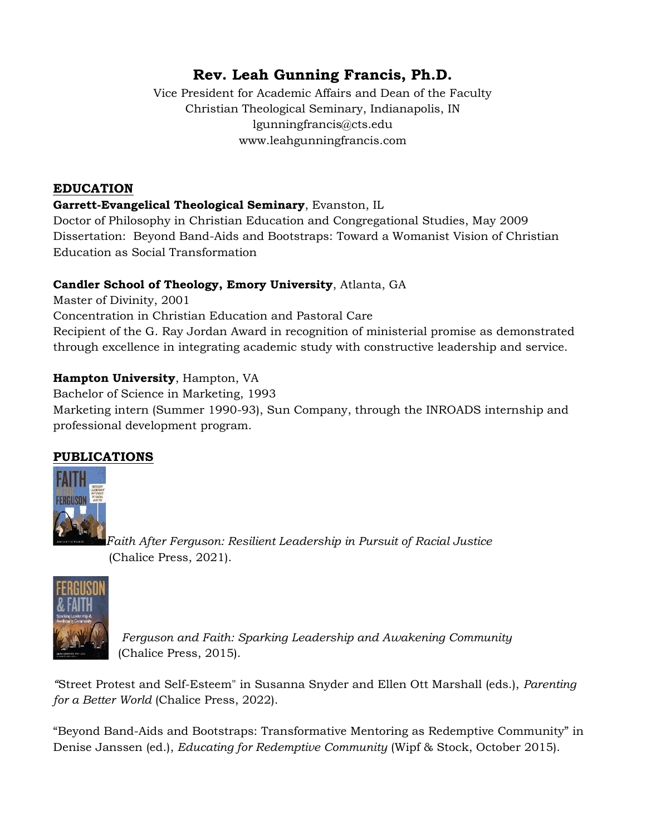# **Rev. Leah Gunning Francis, Ph.D.**

Vice President for Academic Affairs and Dean of the Faculty Christian Theological Seminary, Indianapolis, IN lgunningfrancis@cts.edu www.leahgunningfrancis.com

## **EDUCATION**

## **Garrett-Evangelical Theological Seminary**, Evanston, IL

Doctor of Philosophy in Christian Education and Congregational Studies, May 2009 Dissertation: Beyond Band-Aids and Bootstraps: Toward a Womanist Vision of Christian Education as Social Transformation

## **Candler School of Theology, Emory University**, Atlanta, GA

Master of Divinity, 2001 Concentration in Christian Education and Pastoral Care Recipient of the G. Ray Jordan Award in recognition of ministerial promise as demonstrated through excellence in integrating academic study with constructive leadership and service.

## **Hampton University**, Hampton, VA

Bachelor of Science in Marketing, 1993 Marketing intern (Summer 1990-93), Sun Company, through the INROADS internship and professional development program.

# **PUBLICATIONS**



*Faith After Ferguson: Resilient Leadership in Pursuit of Racial Justice*  (Chalice Press, 2021).



*Ferguson and Faith: Sparking Leadership and Awakening Community* (Chalice Press, 2015).

*"*Street Protest and Self-Esteem" in Susanna Snyder and Ellen Ott Marshall (eds.), *Parenting for a Better World* (Chalice Press, 2022).

"Beyond Band-Aids and Bootstraps: Transformative Mentoring as Redemptive Community" in Denise Janssen (ed.), *Educating for Redemptive Community* (Wipf & Stock, October 2015).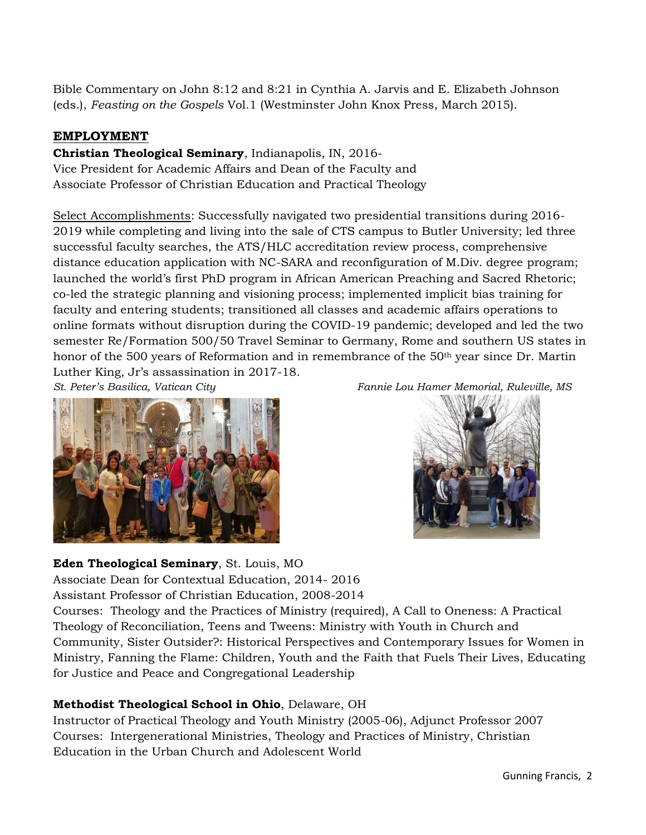Bible Commentary on John 8:12 and 8:21 in Cynthia A. Jarvis and E. Elizabeth Johnson (eds.), *Feasting on the Gospels* Vol.1 (Westminster John Knox Press, March 2015).

## **EMPLOYMENT**

**Christian Theological Seminary**, Indianapolis, IN, 2016- Vice President for Academic Affairs and Dean of the Faculty and Associate Professor of Christian Education and Practical Theology

Select Accomplishments: Successfully navigated two presidential transitions during 2016- 2019 while completing and living into the sale of CTS campus to Butler University; led three successful faculty searches, the ATS/HLC accreditation review process, comprehensive distance education application with NC-SARA and reconfiguration of M.Div. degree program; launched the world's first PhD program in African American Preaching and Sacred Rhetoric; co-led the strategic planning and visioning process; implemented implicit bias training for faculty and entering students; transitioned all classes and academic affairs operations to online formats without disruption during the COVID-19 pandemic; developed and led the two semester Re/Formation 500/50 Travel Seminar to Germany, Rome and southern US states in honor of the 500 years of Reformation and in remembrance of the 50<sup>th</sup> year since Dr. Martin Luther King, Jr's assassination in 2017-18.







#### **Eden Theological Seminary**, St. Louis, MO

Associate Dean for Contextual Education, 2014- 2016

Assistant Professor of Christian Education, 2008-2014

Courses: Theology and the Practices of Ministry (required), A Call to Oneness: A Practical Theology of Reconciliation, Teens and Tweens: Ministry with Youth in Church and Community, Sister Outsider?: Historical Perspectives and Contemporary Issues for Women in Ministry, Fanning the Flame: Children, Youth and the Faith that Fuels Their Lives, Educating for Justice and Peace and Congregational Leadership

## **Methodist Theological School in Ohio**, Delaware, OH

Instructor of Practical Theology and Youth Ministry (2005-06), Adjunct Professor 2007 Courses: Intergenerational Ministries, Theology and Practices of Ministry, Christian Education in the Urban Church and Adolescent World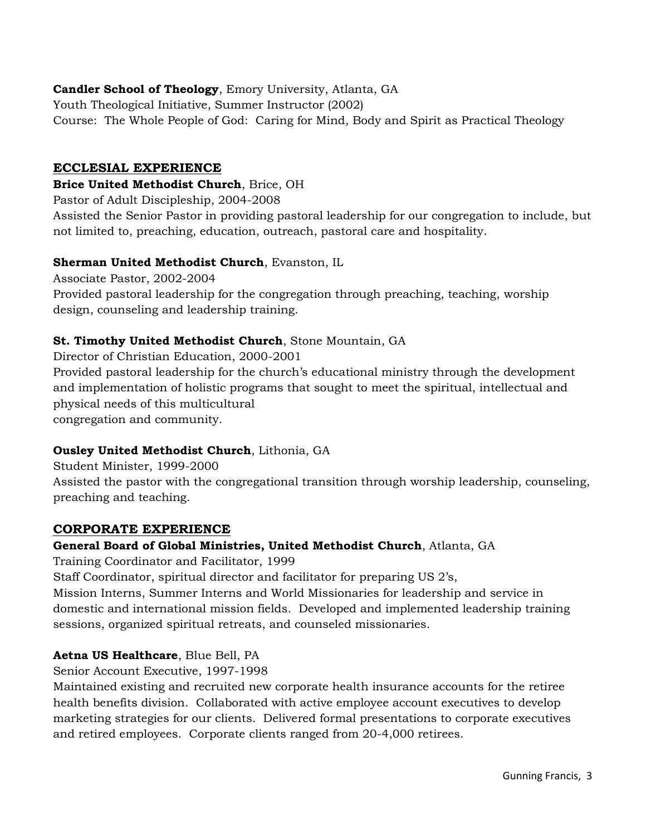## **Candler School of Theology**, Emory University, Atlanta, GA

Youth Theological Initiative, Summer Instructor (2002) Course: The Whole People of God: Caring for Mind, Body and Spirit as Practical Theology

#### **ECCLESIAL EXPERIENCE**

#### **Brice United Methodist Church**, Brice, OH

Pastor of Adult Discipleship, 2004-2008

Assisted the Senior Pastor in providing pastoral leadership for our congregation to include, but not limited to, preaching, education, outreach, pastoral care and hospitality.

#### **Sherman United Methodist Church**, Evanston, IL

Associate Pastor, 2002-2004 Provided pastoral leadership for the congregation through preaching, teaching, worship design, counseling and leadership training.

#### **St. Timothy United Methodist Church**, Stone Mountain, GA

Director of Christian Education, 2000-2001 Provided pastoral leadership for the church's educational ministry through the development and implementation of holistic programs that sought to meet the spiritual, intellectual and physical needs of this multicultural congregation and community.

#### **Ousley United Methodist Church**, Lithonia, GA

Student Minister, 1999-2000 Assisted the pastor with the congregational transition through worship leadership, counseling, preaching and teaching.

#### **CORPORATE EXPERIENCE**

#### **General Board of Global Ministries, United Methodist Church**, Atlanta, GA

Training Coordinator and Facilitator, 1999

Staff Coordinator, spiritual director and facilitator for preparing US 2's,

Mission Interns, Summer Interns and World Missionaries for leadership and service in domestic and international mission fields. Developed and implemented leadership training sessions, organized spiritual retreats, and counseled missionaries.

#### **Aetna US Healthcare**, Blue Bell, PA

Senior Account Executive, 1997-1998

Maintained existing and recruited new corporate health insurance accounts for the retiree health benefits division. Collaborated with active employee account executives to develop marketing strategies for our clients. Delivered formal presentations to corporate executives and retired employees. Corporate clients ranged from 20-4,000 retirees.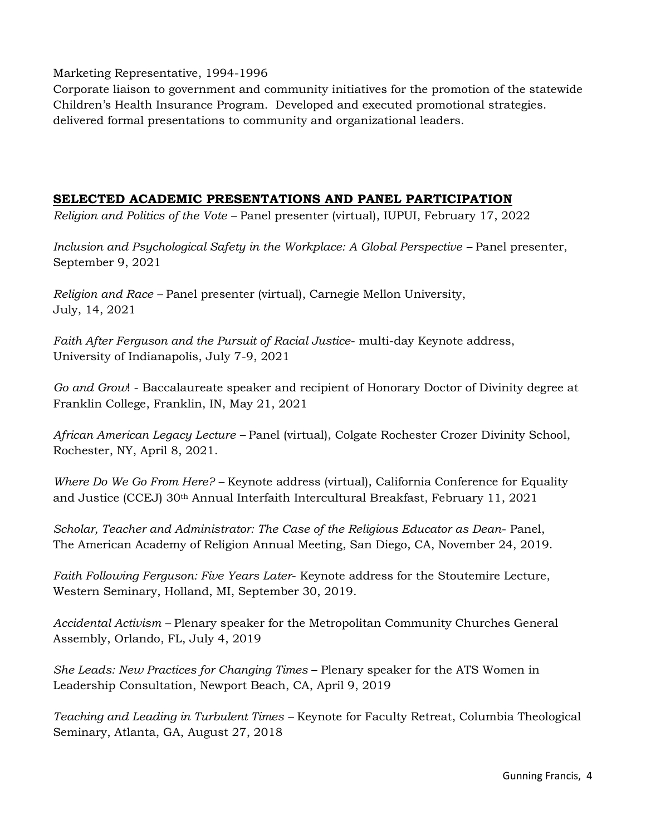Marketing Representative, 1994-1996

Corporate liaison to government and community initiatives for the promotion of the statewide Children's Health Insurance Program. Developed and executed promotional strategies. delivered formal presentations to community and organizational leaders.

#### **SELECTED ACADEMIC PRESENTATIONS AND PANEL PARTICIPATION**

*Religion and Politics of the Vote –* Panel presenter (virtual), IUPUI, February 17, 2022

*Inclusion and Psychological Safety in the Workplace: A Global Perspective - Panel presenter,* September 9, 2021

*Religion and Race –* Panel presenter (virtual), Carnegie Mellon University, July, 14, 2021

*Faith After Ferguson and the Pursuit of Racial Justice*- multi-day Keynote address, University of Indianapolis, July 7-9, 2021

*Go and Grow*! - Baccalaureate speaker and recipient of Honorary Doctor of Divinity degree at Franklin College, Franklin, IN, May 21, 2021

*African American Legacy Lecture –* Panel (virtual), Colgate Rochester Crozer Divinity School, Rochester, NY, April 8, 2021.

*Where Do We Go From Here? –* Keynote address (virtual), California Conference for Equality and Justice (CCEJ) 30th Annual Interfaith Intercultural Breakfast, February 11, 2021

*Scholar, Teacher and Administrator: The Case of the Religious Educator as Dean*- Panel, The American Academy of Religion Annual Meeting, San Diego, CA, November 24, 2019.

*Faith Following Ferguson: Five Years Later*- Keynote address for the Stoutemire Lecture, Western Seminary, Holland, MI, September 30, 2019.

*Accidental Activism –* Plenary speaker for the Metropolitan Community Churches General Assembly, Orlando, FL, July 4, 2019

*She Leads: New Practices for Changing Times* – Plenary speaker for the ATS Women in Leadership Consultation, Newport Beach, CA, April 9, 2019

*Teaching and Leading in Turbulent Times –* Keynote for Faculty Retreat, Columbia Theological Seminary, Atlanta, GA, August 27, 2018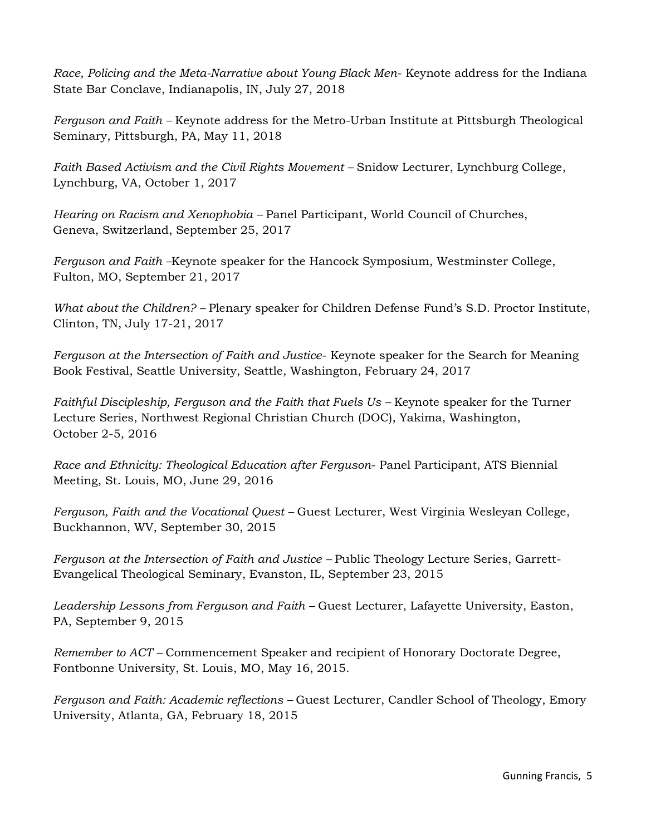*Race, Policing and the Meta-Narrative about Young Black Men*- Keynote address for the Indiana State Bar Conclave, Indianapolis, IN, July 27, 2018

*Ferguson and Faith –* Keynote address for the Metro-Urban Institute at Pittsburgh Theological Seminary, Pittsburgh, PA, May 11, 2018

*Faith Based Activism and the Civil Rights Movement - Snidow Lecturer, Lynchburg College,* Lynchburg, VA, October 1, 2017

*Hearing on Racism and Xenophobia –* Panel Participant, World Council of Churches, Geneva, Switzerland, September 25, 2017

*Ferguson and Faith –*Keynote speaker for the Hancock Symposium, Westminster College, Fulton, MO, September 21, 2017

*What about the Children? –* Plenary speaker for Children Defense Fund's S.D. Proctor Institute, Clinton, TN, July 17-21, 2017

*Ferguson at the Intersection of Faith and Justice*- Keynote speaker for the Search for Meaning Book Festival, Seattle University, Seattle, Washington, February 24, 2017

*Faithful Discipleship, Ferguson and the Faith that Fuels Us – Keynote speaker for the Turner* Lecture Series, Northwest Regional Christian Church (DOC), Yakima, Washington, October 2-5, 2016

*Race and Ethnicity: Theological Education after Ferguson*- Panel Participant, ATS Biennial Meeting, St. Louis, MO, June 29, 2016

*Ferguson, Faith and the Vocational Quest –* Guest Lecturer, West Virginia Wesleyan College, Buckhannon, WV, September 30, 2015

*Ferguson at the Intersection of Faith and Justice –* Public Theology Lecture Series, Garrett-Evangelical Theological Seminary, Evanston, IL, September 23, 2015

*Leadership Lessons from Ferguson and Faith –* Guest Lecturer, Lafayette University, Easton, PA, September 9, 2015

*Remember to ACT –* Commencement Speaker and recipient of Honorary Doctorate Degree, Fontbonne University, St. Louis, MO, May 16, 2015.

*Ferguson and Faith: Academic reflections –* Guest Lecturer, Candler School of Theology, Emory University, Atlanta, GA, February 18, 2015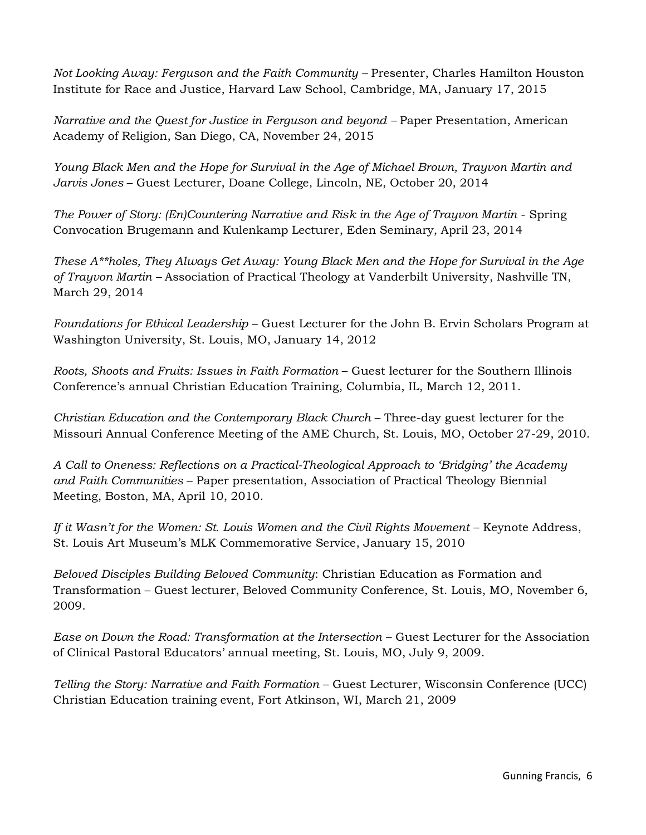*Not Looking Away: Ferguson and the Faith Community –* Presenter, Charles Hamilton Houston Institute for Race and Justice, Harvard Law School, Cambridge, MA, January 17, 2015

*Narrative and the Quest for Justice in Ferguson and beyond – Paper Presentation, American* Academy of Religion, San Diego, CA, November 24, 2015

*Young Black Men and the Hope for Survival in the Age of Michael Brown, Trayvon Martin and Jarvis Jones* – Guest Lecturer, Doane College, Lincoln, NE, October 20, 2014

*The Power of Story: (En)Countering Narrative and Risk in the Age of Trayvon Martin* - Spring Convocation Brugemann and Kulenkamp Lecturer, Eden Seminary, April 23, 2014

*These A\*\*holes, They Always Get Away: Young Black Men and the Hope for Survival in the Age of Trayvon Martin –* Association of Practical Theology at Vanderbilt University, Nashville TN, March 29, 2014

*Foundations for Ethical Leadership* – Guest Lecturer for the John B. Ervin Scholars Program at Washington University, St. Louis, MO, January 14, 2012

*Roots, Shoots and Fruits: Issues in Faith Formation* – Guest lecturer for the Southern Illinois Conference's annual Christian Education Training, Columbia, IL, March 12, 2011.

*Christian Education and the Contemporary Black Church* – Three-day guest lecturer for the Missouri Annual Conference Meeting of the AME Church, St. Louis, MO, October 27-29, 2010.

*A Call to Oneness: Reflections on a Practical-Theological Approach to 'Bridging' the Academy and Faith Communities* – Paper presentation, Association of Practical Theology Biennial Meeting, Boston, MA, April 10, 2010.

*If it Wasn't for the Women: St. Louis Women and the Civil Rights Movement* – Keynote Address, St. Louis Art Museum's MLK Commemorative Service, January 15, 2010

*Beloved Disciples Building Beloved Community*: Christian Education as Formation and Transformation – Guest lecturer, Beloved Community Conference, St. Louis, MO, November 6, 2009.

*Ease on Down the Road: Transformation at the Intersection* – Guest Lecturer for the Association of Clinical Pastoral Educators' annual meeting, St. Louis, MO, July 9, 2009.

*Telling the Story: Narrative and Faith Formation* – Guest Lecturer, Wisconsin Conference (UCC) Christian Education training event, Fort Atkinson, WI, March 21, 2009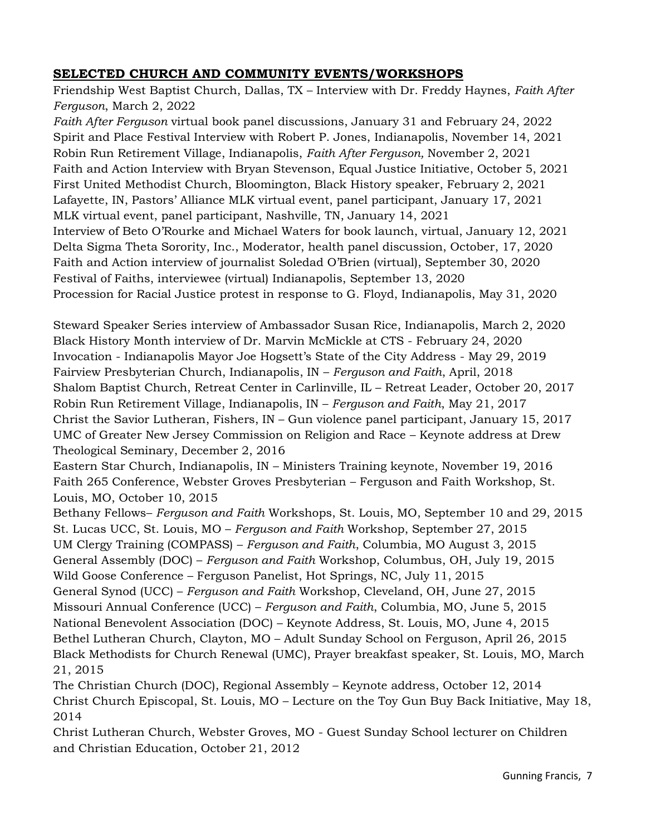## **SELECTED CHURCH AND COMMUNITY EVENTS/WORKSHOPS**

Friendship West Baptist Church, Dallas, TX – Interview with Dr. Freddy Haynes, *Faith After Ferguson*, March 2, 2022

*Faith After Ferguson* virtual book panel discussions, January 31 and February 24, 2022 Spirit and Place Festival Interview with Robert P. Jones, Indianapolis, November 14, 2021 Robin Run Retirement Village, Indianapolis, *Faith After Ferguson,* November 2, 2021 Faith and Action Interview with Bryan Stevenson, Equal Justice Initiative, October 5, 2021 First United Methodist Church, Bloomington, Black History speaker, February 2, 2021 Lafayette, IN, Pastors' Alliance MLK virtual event, panel participant, January 17, 2021 MLK virtual event, panel participant, Nashville, TN, January 14, 2021 Interview of Beto O'Rourke and Michael Waters for book launch, virtual, January 12, 2021 Delta Sigma Theta Sorority, Inc., Moderator, health panel discussion, October, 17, 2020 Faith and Action interview of journalist Soledad O'Brien (virtual), September 30, 2020 Festival of Faiths, interviewee (virtual) Indianapolis, September 13, 2020 Procession for Racial Justice protest in response to G. Floyd, Indianapolis, May 31, 2020

Steward Speaker Series interview of Ambassador Susan Rice, Indianapolis, March 2, 2020 Black History Month interview of Dr. Marvin McMickle at CTS - February 24, 2020 Invocation - Indianapolis Mayor Joe Hogsett's State of the City Address - May 29, 2019 Fairview Presbyterian Church, Indianapolis, IN – *Ferguson and Faith*, April, 2018 Shalom Baptist Church, Retreat Center in Carlinville, IL – Retreat Leader, October 20, 2017 Robin Run Retirement Village, Indianapolis, IN – *Ferguson and Faith*, May 21, 2017 Christ the Savior Lutheran, Fishers, IN – Gun violence panel participant, January 15, 2017 UMC of Greater New Jersey Commission on Religion and Race – Keynote address at Drew Theological Seminary, December 2, 2016

Eastern Star Church, Indianapolis, IN – Ministers Training keynote, November 19, 2016 Faith 265 Conference, Webster Groves Presbyterian – Ferguson and Faith Workshop, St. Louis, MO, October 10, 2015

Bethany Fellows– *Ferguson and Faith* Workshops, St. Louis, MO, September 10 and 29, 2015 St. Lucas UCC, St. Louis, MO – *Ferguson and Faith* Workshop, September 27, 2015 UM Clergy Training (COMPASS) – *Ferguson and Faith*, Columbia, MO August 3, 2015 General Assembly (DOC) – *Ferguson and Faith* Workshop, Columbus, OH, July 19, 2015 Wild Goose Conference – Ferguson Panelist, Hot Springs, NC, July 11, 2015 General Synod (UCC) – *Ferguson and Faith* Workshop, Cleveland, OH, June 27, 2015 Missouri Annual Conference (UCC) – *Ferguson and Faith*, Columbia, MO, June 5, 2015 National Benevolent Association (DOC) – Keynote Address, St. Louis, MO, June 4, 2015 Bethel Lutheran Church, Clayton, MO – Adult Sunday School on Ferguson, April 26, 2015 Black Methodists for Church Renewal (UMC), Prayer breakfast speaker, St. Louis, MO, March 21, 2015

The Christian Church (DOC), Regional Assembly – Keynote address, October 12, 2014 Christ Church Episcopal, St. Louis, MO – Lecture on the Toy Gun Buy Back Initiative, May 18, 2014

Christ Lutheran Church, Webster Groves, MO - Guest Sunday School lecturer on Children and Christian Education, October 21, 2012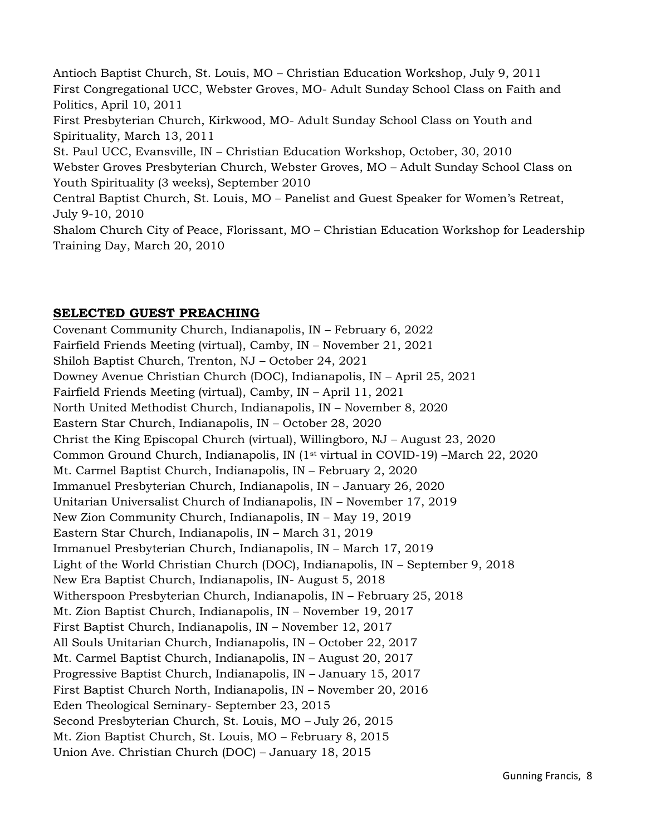Antioch Baptist Church, St. Louis, MO – Christian Education Workshop, July 9, 2011 First Congregational UCC, Webster Groves, MO- Adult Sunday School Class on Faith and Politics, April 10, 2011 First Presbyterian Church, Kirkwood, MO- Adult Sunday School Class on Youth and Spirituality, March 13, 2011 St. Paul UCC, Evansville, IN – Christian Education Workshop, October, 30, 2010 Webster Groves Presbyterian Church, Webster Groves, MO – Adult Sunday School Class on Youth Spirituality (3 weeks), September 2010 Central Baptist Church, St. Louis, MO – Panelist and Guest Speaker for Women's Retreat, July 9-10, 2010 Shalom Church City of Peace, Florissant, MO – Christian Education Workshop for Leadership Training Day, March 20, 2010

#### **SELECTED GUEST PREACHING**

Covenant Community Church, Indianapolis, IN – February 6, 2022 Fairfield Friends Meeting (virtual), Camby, IN – November 21, 2021 Shiloh Baptist Church, Trenton, NJ – October 24, 2021 Downey Avenue Christian Church (DOC), Indianapolis, IN – April 25, 2021 Fairfield Friends Meeting (virtual), Camby, IN – April 11, 2021 North United Methodist Church, Indianapolis, IN – November 8, 2020 Eastern Star Church, Indianapolis, IN – October 28, 2020 Christ the King Episcopal Church (virtual), Willingboro, NJ – August 23, 2020 Common Ground Church, Indianapolis, IN (1st virtual in COVID-19) –March 22, 2020 Mt. Carmel Baptist Church, Indianapolis, IN – February 2, 2020 Immanuel Presbyterian Church, Indianapolis, IN – January 26, 2020 Unitarian Universalist Church of Indianapolis, IN – November 17, 2019 New Zion Community Church, Indianapolis, IN – May 19, 2019 Eastern Star Church, Indianapolis, IN – March 31, 2019 Immanuel Presbyterian Church, Indianapolis, IN – March 17, 2019 Light of the World Christian Church (DOC), Indianapolis, IN – September 9, 2018 New Era Baptist Church, Indianapolis, IN- August 5, 2018 Witherspoon Presbyterian Church, Indianapolis, IN – February 25, 2018 Mt. Zion Baptist Church, Indianapolis, IN – November 19, 2017 First Baptist Church, Indianapolis, IN – November 12, 2017 All Souls Unitarian Church, Indianapolis, IN – October 22, 2017 Mt. Carmel Baptist Church, Indianapolis, IN – August 20, 2017 Progressive Baptist Church, Indianapolis, IN – January 15, 2017 First Baptist Church North, Indianapolis, IN – November 20, 2016 Eden Theological Seminary- September 23, 2015 Second Presbyterian Church, St. Louis, MO – July 26, 2015 Mt. Zion Baptist Church, St. Louis, MO – February 8, 2015 Union Ave. Christian Church (DOC) – January 18, 2015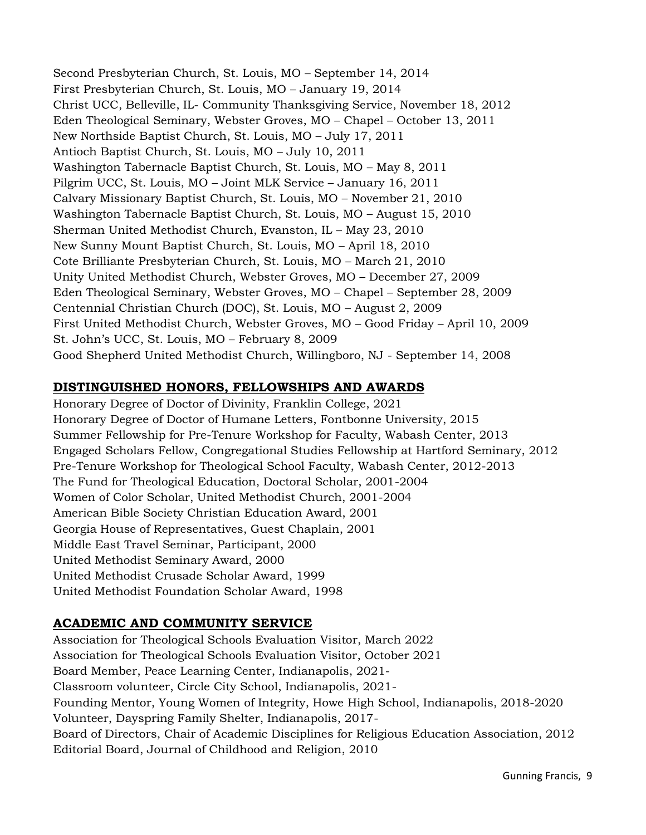Second Presbyterian Church, St. Louis, MO – September 14, 2014 First Presbyterian Church, St. Louis, MO – January 19, 2014 Christ UCC, Belleville, IL- Community Thanksgiving Service, November 18, 2012 Eden Theological Seminary, Webster Groves, MO – Chapel – October 13, 2011 New Northside Baptist Church, St. Louis, MO – July 17, 2011 Antioch Baptist Church, St. Louis, MO – July 10, 2011 Washington Tabernacle Baptist Church, St. Louis, MO – May 8, 2011 Pilgrim UCC, St. Louis, MO – Joint MLK Service – January 16, 2011 Calvary Missionary Baptist Church, St. Louis, MO – November 21, 2010 Washington Tabernacle Baptist Church, St. Louis, MO – August 15, 2010 Sherman United Methodist Church, Evanston, IL – May 23, 2010 New Sunny Mount Baptist Church, St. Louis, MO – April 18, 2010 Cote Brilliante Presbyterian Church, St. Louis, MO – March 21, 2010 Unity United Methodist Church, Webster Groves, MO – December 27, 2009 Eden Theological Seminary, Webster Groves, MO – Chapel – September 28, 2009 Centennial Christian Church (DOC), St. Louis, MO – August 2, 2009 First United Methodist Church, Webster Groves, MO – Good Friday – April 10, 2009 St. John's UCC, St. Louis, MO – February 8, 2009 Good Shepherd United Methodist Church, Willingboro, NJ - September 14, 2008

## **DISTINGUISHED HONORS, FELLOWSHIPS AND AWARDS**

Honorary Degree of Doctor of Divinity, Franklin College, 2021 Honorary Degree of Doctor of Humane Letters, Fontbonne University, 2015 Summer Fellowship for Pre-Tenure Workshop for Faculty, Wabash Center, 2013 Engaged Scholars Fellow, Congregational Studies Fellowship at Hartford Seminary, 2012 Pre-Tenure Workshop for Theological School Faculty, Wabash Center, 2012-2013 The Fund for Theological Education, Doctoral Scholar, 2001-2004 Women of Color Scholar, United Methodist Church, 2001-2004 American Bible Society Christian Education Award, 2001 Georgia House of Representatives, Guest Chaplain, 2001 Middle East Travel Seminar, Participant, 2000 United Methodist Seminary Award, 2000 United Methodist Crusade Scholar Award, 1999 United Methodist Foundation Scholar Award, 1998

## **ACADEMIC AND COMMUNITY SERVICE**

Association for Theological Schools Evaluation Visitor, March 2022 Association for Theological Schools Evaluation Visitor, October 2021 Board Member, Peace Learning Center, Indianapolis, 2021- Classroom volunteer, Circle City School, Indianapolis, 2021- Founding Mentor, Young Women of Integrity, Howe High School, Indianapolis, 2018-2020 Volunteer, Dayspring Family Shelter, Indianapolis, 2017- Board of Directors, Chair of Academic Disciplines for Religious Education Association, 2012 Editorial Board, Journal of Childhood and Religion, 2010